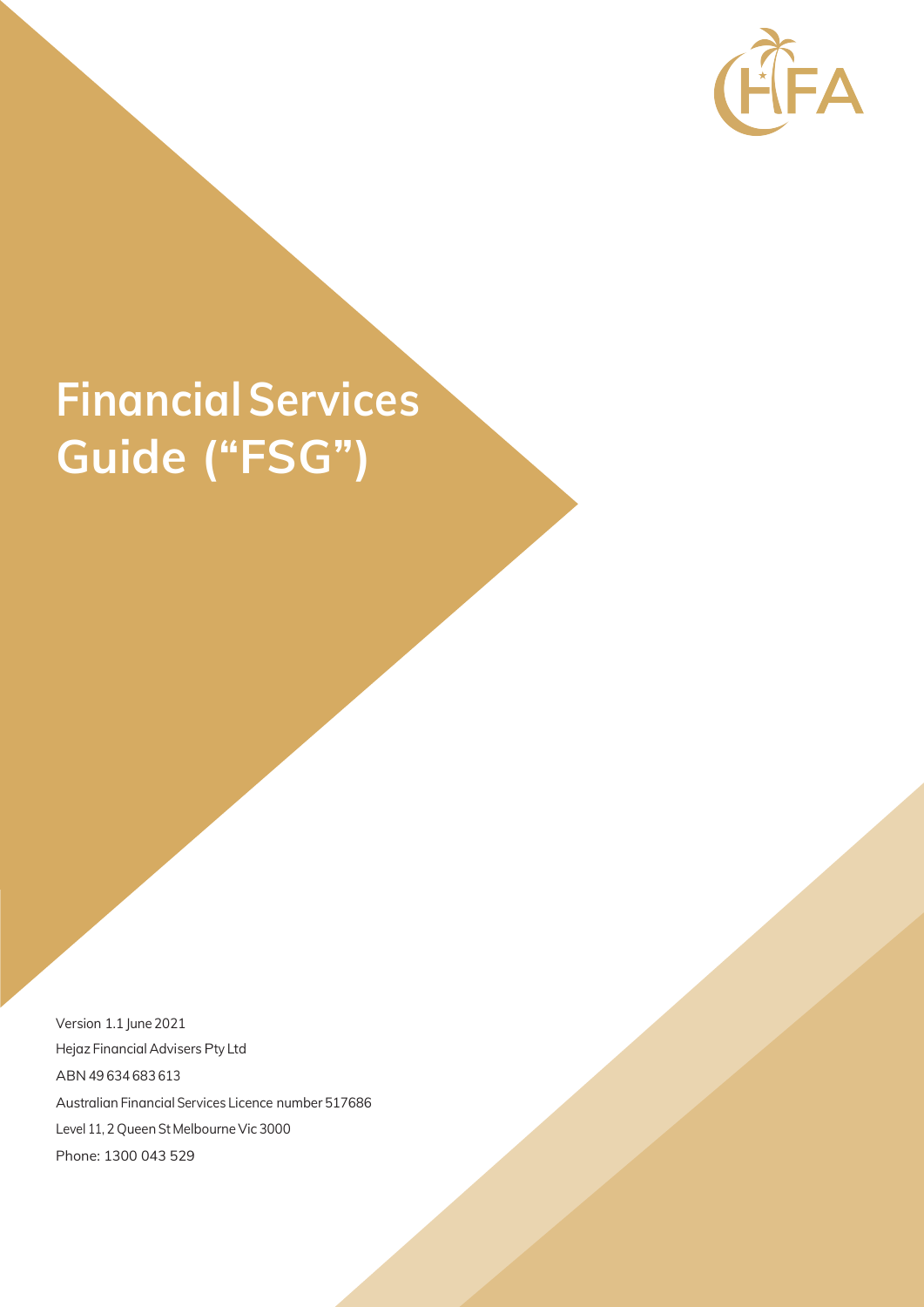

# **FinancialServices Guide ("FSG")**

Version 1.1 June 2021 Hejaz Financial Advisers Pty Ltd ABN 49 634 683 613 Australian Financial Services Licence number 517686 Level 11, 2 Queen St Melbourne Vic 3000 Phone: 1300 043 529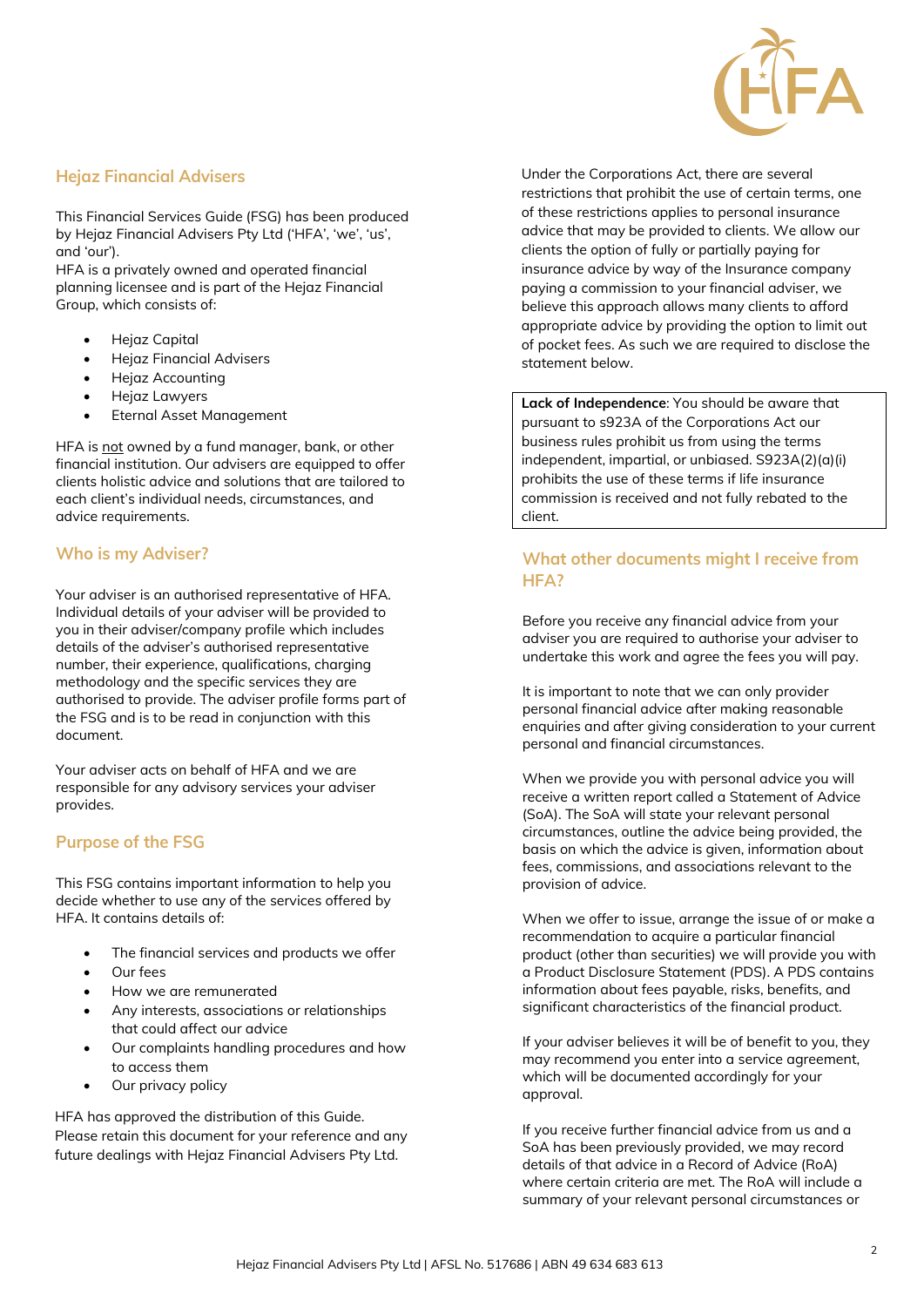

## **Hejaz Financial Advisers**

This Financial Services Guide (FSG) has been produced by Hejaz Financial Advisers Pty Ltd ('HFA', 'we', 'us', and 'our').

HFA is a privately owned and operated financial planning licensee and is part of the Hejaz Financial Group, which consists of:

- Hejaz Capital
- Hejaz Financial Advisers
- Hejaz Accounting
- Hejaz Lawyers
- Eternal Asset Management

HFA is not owned by a fund manager, bank, or other financial institution. Our advisers are equipped to offer clients holistic advice and solutions that are tailored to each client's individual needs, circumstances, and advice requirements.

## **Who is my Adviser?**

Your adviser is an authorised representative of HFA. Individual details of your adviser will be provided to you in their adviser/company profile which includes details of the adviser's authorised representative number, their experience, qualifications, charging methodology and the specific services they are authorised to provide. The adviser profile forms part of the FSG and is to be read in conjunction with this document.

Your adviser acts on behalf of HFA and we are responsible for any advisory services your adviser provides.

## **Purpose of the FSG**

This FSG contains important information to help you decide whether to use any of the services offered by HFA. It contains details of:

- The financial services and products we offer
- Our fees
- How we are remunerated
- Any interests, associations or relationships that could affect our advice
- Our complaints handling procedures and how to access them
- Our privacy policy

HFA has approved the distribution of this Guide. Please retain this document for your reference and any future dealings with Hejaz Financial Advisers Pty Ltd.

Under the Corporations Act, there are several restrictions that prohibit the use of certain terms, one of these restrictions applies to personal insurance advice that may be provided to clients. We allow our clients the option of fully or partially paying for insurance advice by way of the Insurance company paying a commission to your financial adviser, we believe this approach allows many clients to afford appropriate advice by providing the option to limit out of pocket fees. As such we are required to disclose the statement below.

**Lack of Independence**: You should be aware that pursuant to s923A of the Corporations Act our business rules prohibit us from using the terms independent, impartial, or unbiased. S923A(2)(a)(i) prohibits the use of these terms if life insurance commission is received and not fully rebated to the client.

# **What other documents might I receive from HFA?**

Before you receive any financial advice from your adviser you are required to authorise your adviser to undertake this work and agree the fees you will pay.

It is important to note that we can only provider personal financial advice after making reasonable enquiries and after giving consideration to your current personal and financial circumstances.

When we provide you with personal advice you will receive a written report called a Statement of Advice (SoA). The SoA will state your relevant personal circumstances, outline the advice being provided, the basis on which the advice is given, information about fees, commissions, and associations relevant to the provision of advice.

When we offer to issue, arrange the issue of or make a recommendation to acquire a particular financial product (other than securities) we will provide you with a Product Disclosure Statement (PDS). A PDS contains information about fees payable, risks, benefits, and significant characteristics of the financial product.

If your adviser believes it will be of benefit to you, they may recommend you enter into a service agreement, which will be documented accordingly for your approval.

If you receive further financial advice from us and a SoA has been previously provided, we may record details of that advice in a Record of Advice (RoA) where certain criteria are met. The RoA will include a summary of your relevant personal circumstances or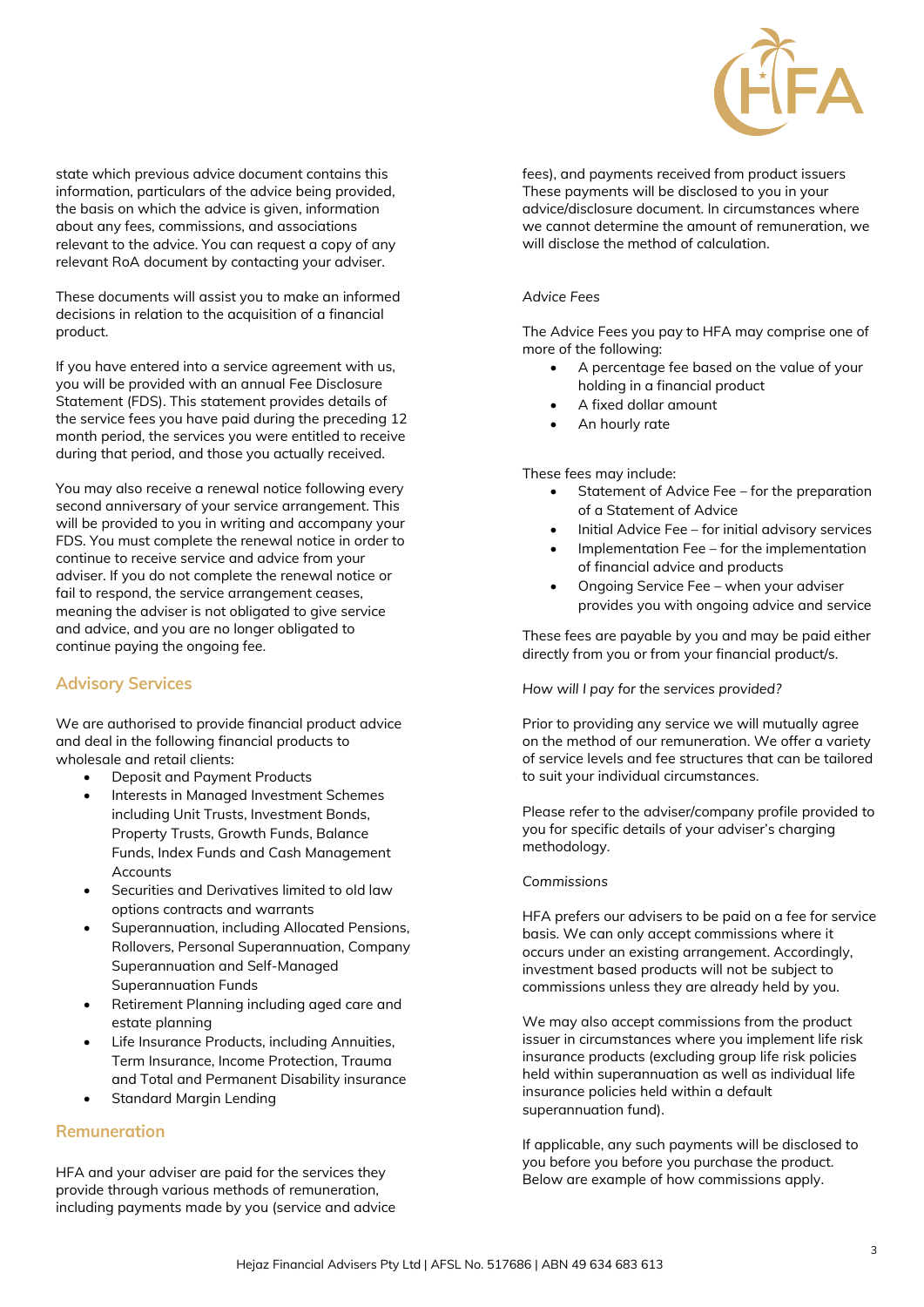

state which previous advice document contains this information, particulars of the advice being provided, the basis on which the advice is given, information about any fees, commissions, and associations relevant to the advice. You can request a copy of any relevant RoA document by contacting your adviser.

These documents will assist you to make an informed decisions in relation to the acquisition of a financial product.

If you have entered into a service agreement with us, you will be provided with an annual Fee Disclosure Statement (FDS). This statement provides details of the service fees you have paid during the preceding 12 month period, the services you were entitled to receive during that period, and those you actually received.

You may also receive a renewal notice following every second anniversary of your service arrangement. This will be provided to you in writing and accompany your FDS. You must complete the renewal notice in order to continue to receive service and advice from your adviser. If you do not complete the renewal notice or fail to respond, the service arrangement ceases, meaning the adviser is not obligated to give service and advice, and you are no longer obligated to continue paying the ongoing fee.

## **Advisory Services**

We are authorised to provide financial product advice and deal in the following financial products to wholesale and retail clients:

- Deposit and Payment Products
- Interests in Managed Investment Schemes including Unit Trusts, Investment Bonds, Property Trusts, Growth Funds, Balance Funds, Index Funds and Cash Management **Accounts**
- Securities and Derivatives limited to old law options contracts and warrants
- Superannuation, including Allocated Pensions, Rollovers, Personal Superannuation, Company Superannuation and Self-Managed Superannuation Funds
- Retirement Planning including aged care and estate planning
- Life Insurance Products, including Annuities, Term Insurance, Income Protection, Trauma and Total and Permanent Disability insurance
- Standard Margin Lending

## **Remuneration**

HFA and your adviser are paid for the services they provide through various methods of remuneration, including payments made by you (service and advice fees), and payments received from product issuers These payments will be disclosed to you in your advice/disclosure document. In circumstances where we cannot determine the amount of remuneration, we will disclose the method of calculation.

#### *Advice Fees*

The Advice Fees you pay to HFA may comprise one of more of the following:

- A percentage fee based on the value of your holding in a financial product
- A fixed dollar amount
- An hourly rate

These fees may include:

- Statement of Advice Fee for the preparation of a Statement of Advice
- Initial Advice Fee for initial advisory services
- Implementation Fee for the implementation of financial advice and products
- Ongoing Service Fee when your adviser provides you with ongoing advice and service

These fees are payable by you and may be paid either directly from you or from your financial product/s.

*How will I pay for the services provided?*

Prior to providing any service we will mutually agree on the method of our remuneration. We offer a variety of service levels and fee structures that can be tailored to suit your individual circumstances.

Please refer to the adviser/company profile provided to you for specific details of your adviser's charging methodology.

#### *Commissions*

HFA prefers our advisers to be paid on a fee for service basis. We can only accept commissions where it occurs under an existing arrangement. Accordingly, investment based products will not be subject to commissions unless they are already held by you.

We may also accept commissions from the product issuer in circumstances where you implement life risk insurance products (excluding group life risk policies held within superannuation as well as individual life insurance policies held within a default superannuation fund).

If applicable, any such payments will be disclosed to you before you before you purchase the product. Below are example of how commissions apply.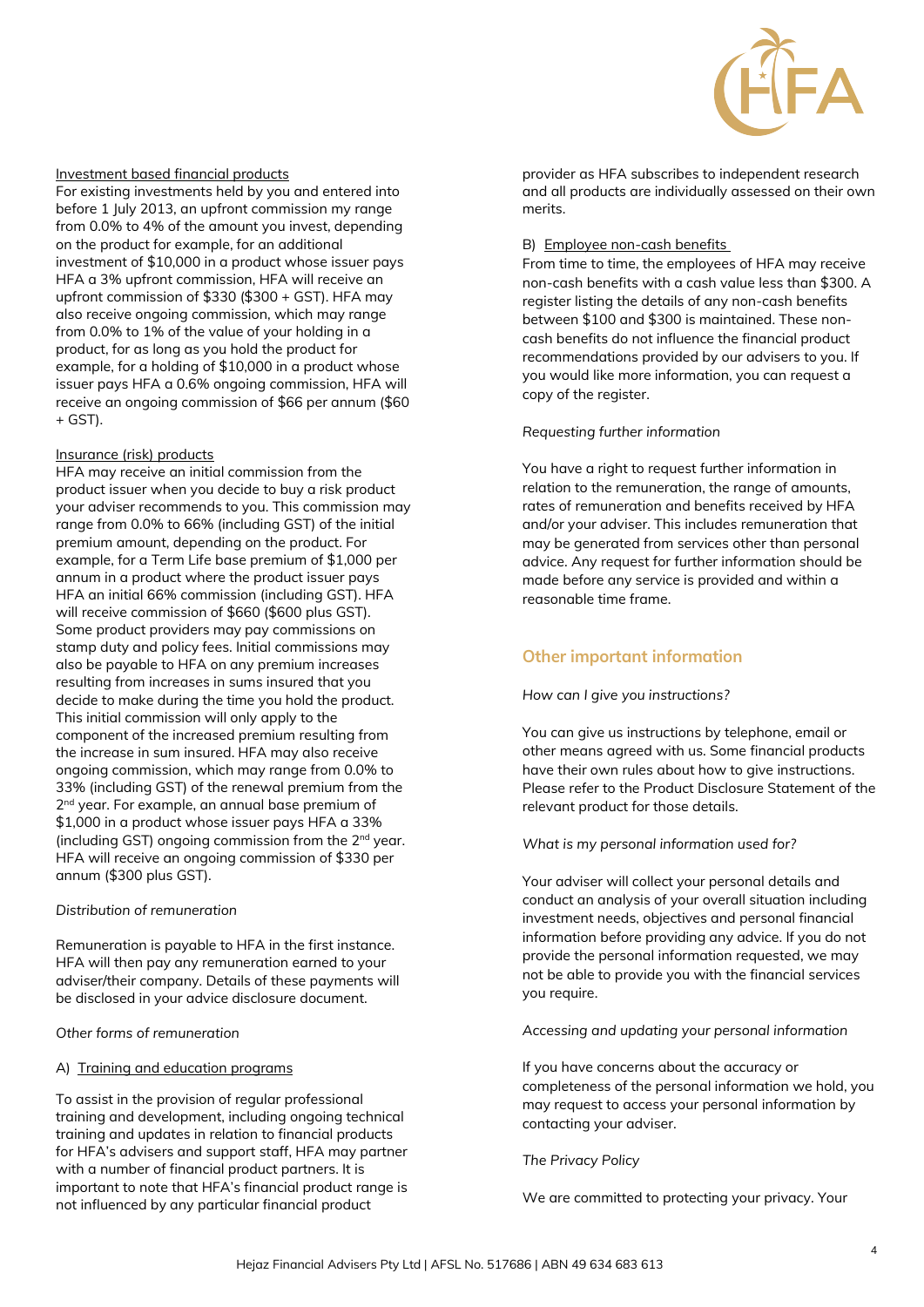

#### Investment based financial products

For existing investments held by you and entered into before 1 July 2013, an upfront commission my range from 0.0% to 4% of the amount you invest, depending on the product for example, for an additional investment of \$10,000 in a product whose issuer pays HFA a 3% upfront commission, HFA will receive an upfront commission of \$330 (\$300 + GST). HFA may also receive ongoing commission, which may range from 0.0% to 1% of the value of your holding in a product, for as long as you hold the product for example, for a holding of \$10,000 in a product whose issuer pays HFA a 0.6% ongoing commission, HFA will receive an ongoing commission of \$66 per annum (\$60  $+$  GST).

#### Insurance (risk) products

HFA may receive an initial commission from the product issuer when you decide to buy a risk product your adviser recommends to you. This commission may range from 0.0% to 66% (including GST) of the initial premium amount, depending on the product. For example, for a Term Life base premium of \$1,000 per annum in a product where the product issuer pays HFA an initial 66% commission (including GST). HFA will receive commission of \$660 (\$600 plus GST). Some product providers may pay commissions on stamp duty and policy fees. Initial commissions may also be payable to HFA on any premium increases resulting from increases in sums insured that you decide to make during the time you hold the product. This initial commission will only apply to the component of the increased premium resulting from the increase in sum insured. HFA may also receive ongoing commission, which may range from 0.0% to 33% (including GST) of the renewal premium from the 2<sup>nd</sup> year. For example, an annual base premium of \$1,000 in a product whose issuer pays HFA a 33% (including GST) ongoing commission from the 2nd year. HFA will receive an ongoing commission of \$330 per annum (\$300 plus GST).

#### *Distribution of remuneration*

Remuneration is payable to HFA in the first instance. HFA will then pay any remuneration earned to your adviser/their company. Details of these payments will be disclosed in your advice disclosure document.

*Other forms of remuneration*

#### A) Training and education programs

To assist in the provision of regular professional training and development, including ongoing technical training and updates in relation to financial products for HFA's advisers and support staff, HFA may partner with a number of financial product partners. It is important to note that HFA's financial product range is not influenced by any particular financial product

provider as HFA subscribes to independent research and all products are individually assessed on their own merits.

#### B) Employee non-cash benefits

From time to time, the employees of HFA may receive non-cash benefits with a cash value less than \$300. A register listing the details of any non-cash benefits between \$100 and \$300 is maintained. These noncash benefits do not influence the financial product recommendations provided by our advisers to you. If you would like more information, you can request a copy of the register.

#### *Requesting further information*

You have a right to request further information in relation to the remuneration, the range of amounts, rates of remuneration and benefits received by HFA and/or your adviser. This includes remuneration that may be generated from services other than personal advice. Any request for further information should be made before any service is provided and within a reasonable time frame.

### **Other important information**

#### *How can I give you instructions?*

You can give us instructions by telephone, email or other means agreed with us. Some financial products have their own rules about how to give instructions. Please refer to the Product Disclosure Statement of the relevant product for those details.

#### *What is my personal information used for?*

Your adviser will collect your personal details and conduct an analysis of your overall situation including investment needs, objectives and personal financial information before providing any advice. If you do not provide the personal information requested, we may not be able to provide you with the financial services you require.

#### *Accessing and updating your personal information*

If you have concerns about the accuracy or completeness of the personal information we hold, you may request to access your personal information by contacting your adviser.

#### *The Privacy Policy*

We are committed to protecting your privacy. Your